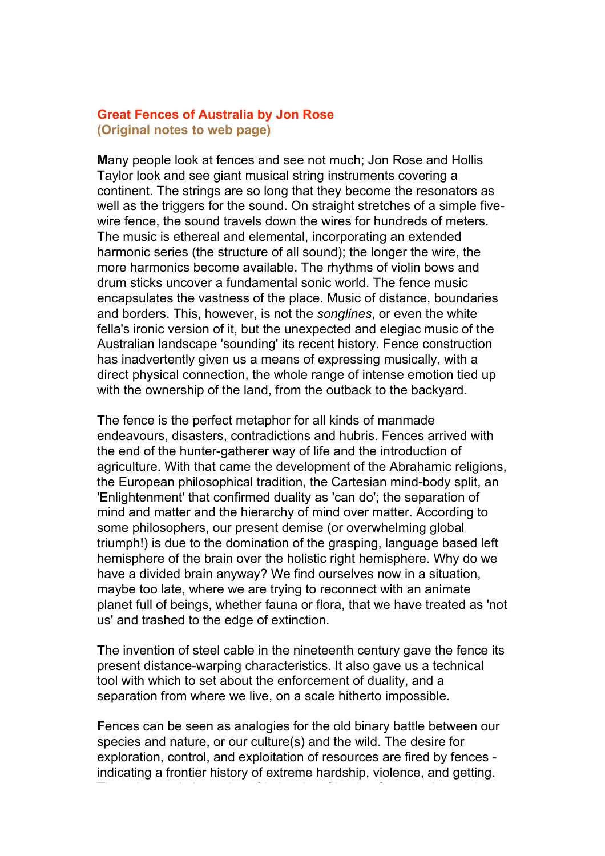## **Great Fences of Australia by Jon Rose (Original notes to web page)**

**M**any people look at fences and see not much; Jon Rose and Hollis Taylor look and see giant musical string instruments covering a continent. The strings are so long that they become the resonators as well as the triggers for the sound. On straight stretches of a simple fivewire fence, the sound travels down the wires for hundreds of meters. The music is ethereal and elemental, incorporating an extended harmonic series (the structure of all sound); the longer the wire, the more harmonics become available. The rhythms of violin bows and drum sticks uncover a fundamental sonic world. The fence music encapsulates the vastness of the place. Music of distance, boundaries and borders. This, however, is not the *songlines*, or even the white fella's ironic version of it, but the unexpected and elegiac music of the Australian landscape 'sounding' its recent history. Fence construction has inadvertently given us a means of expressing musically, with a direct physical connection, the whole range of intense emotion tied up with the ownership of the land, from the outback to the backyard.

**T**he fence is the perfect metaphor for all kinds of manmade endeavours, disasters, contradictions and hubris. Fences arrived with the end of the hunter-gatherer way of life and the introduction of agriculture. With that came the development of the Abrahamic religions, the European philosophical tradition, the Cartesian mind-body split, an 'Enlightenment' that confirmed duality as 'can do'; the separation of mind and matter and the hierarchy of mind over matter. According to some philosophers, our present demise (or overwhelming global triumph!) is due to the domination of the grasping, language based left hemisphere of the brain over the holistic right hemisphere. Why do we have a divided brain anyway? We find ourselves now in a situation, maybe too late, where we are trying to reconnect with an animate planet full of beings, whether fauna or flora, that we have treated as 'not us' and trashed to the edge of extinction.

**T**he invention of steel cable in the nineteenth century gave the fence its present distance-warping characteristics. It also gave us a technical tool with which to set about the enforcement of duality, and a separation from where we live, on a scale hitherto impossible.

**F**ences can be seen as analogies for the old binary battle between our species and nature, or our culture(s) and the wild. The desire for exploration, control, and exploitation of resources are fired by fences indicating a frontier history of extreme hardship, violence, and getting.

They also matches the notion of belonging, friend or foe, certainty and  $\epsilon$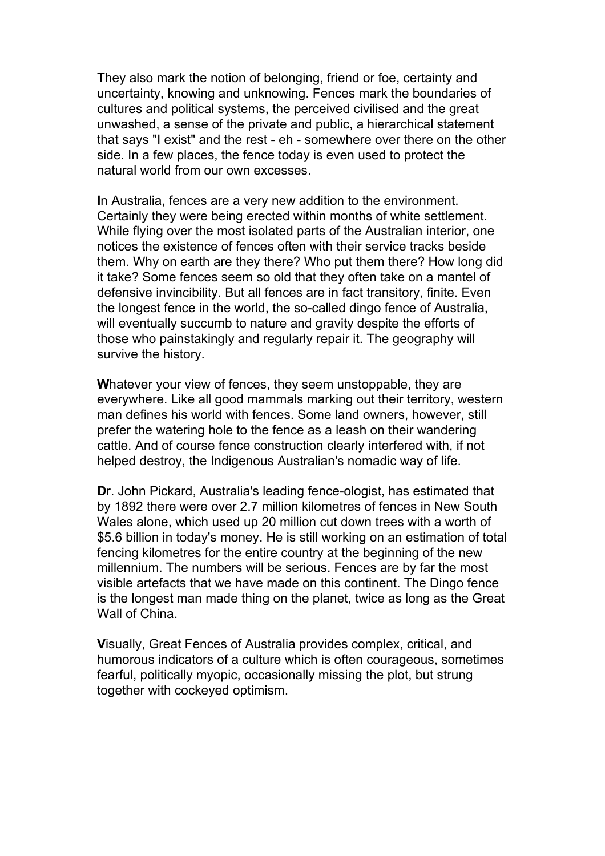They also mark the notion of belonging, friend or foe, certainty and uncertainty, knowing and unknowing. Fences mark the boundaries of cultures and political systems, the perceived civilised and the great unwashed, a sense of the private and public, a hierarchical statement that says "I exist" and the rest - eh - somewhere over there on the other side. In a few places, the fence today is even used to protect the natural world from our own excesses.

**I**n Australia, fences are a very new addition to the environment. Certainly they were being erected within months of white settlement. While flying over the most isolated parts of the Australian interior, one notices the existence of fences often with their service tracks beside them. Why on earth are they there? Who put them there? How long did it take? Some fences seem so old that they often take on a mantel of defensive invincibility. But all fences are in fact transitory, finite. Even the longest fence in the world, the so-called dingo fence of Australia, will eventually succumb to nature and gravity despite the efforts of those who painstakingly and regularly repair it. The geography will survive the history.

**W**hatever your view of fences, they seem unstoppable, they are everywhere. Like all good mammals marking out their territory, western man defines his world with fences. Some land owners, however, still prefer the watering hole to the fence as a leash on their wandering cattle. And of course fence construction clearly interfered with, if not helped destroy, the Indigenous Australian's nomadic way of life.

**D**r. John Pickard, Australia's leading fence-ologist, has estimated that by 1892 there were over 2.7 million kilometres of fences in New South Wales alone, which used up 20 million cut down trees with a worth of \$5.6 billion in today's money. He is still working on an estimation of total fencing kilometres for the entire country at the beginning of the new millennium. The numbers will be serious. Fences are by far the most visible artefacts that we have made on this continent. The Dingo fence is the longest man made thing on the planet, twice as long as the Great Wall of China.

**V**isually, Great Fences of Australia provides complex, critical, and humorous indicators of a culture which is often courageous, sometimes fearful, politically myopic, occasionally missing the plot, but strung together with cockeyed optimism.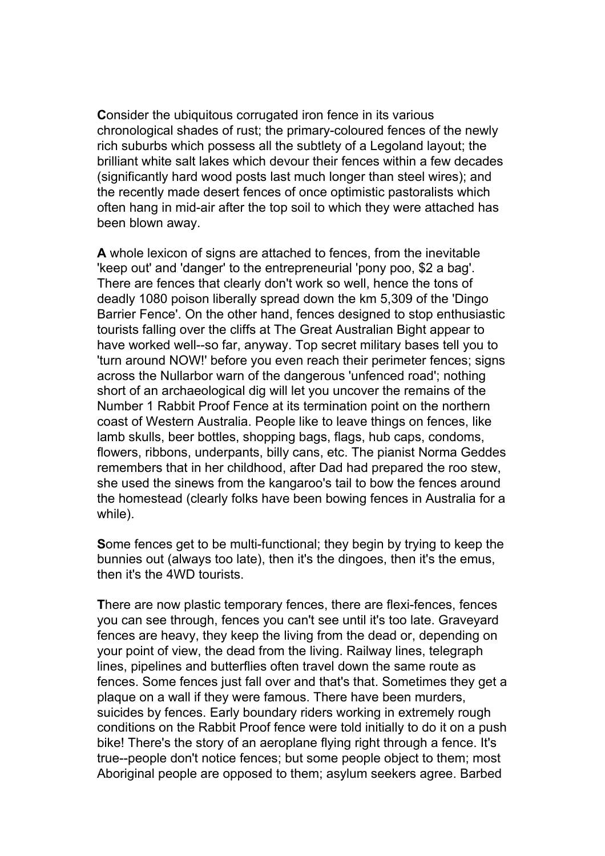**C**onsider the ubiquitous corrugated iron fence in its various chronological shades of rust; the primary-coloured fences of the newly rich suburbs which possess all the subtlety of a Legoland layout; the brilliant white salt lakes which devour their fences within a few decades (significantly hard wood posts last much longer than steel wires); and the recently made desert fences of once optimistic pastoralists which often hang in mid-air after the top soil to which they were attached has been blown away.

**A** whole lexicon of signs are attached to fences, from the inevitable 'keep out' and 'danger' to the entrepreneurial 'pony poo, \$2 a bag'. There are fences that clearly don't work so well, hence the tons of deadly 1080 poison liberally spread down the km 5,309 of the 'Dingo Barrier Fence'. On the other hand, fences designed to stop enthusiastic tourists falling over the cliffs at The Great Australian Bight appear to have worked well--so far, anyway. Top secret military bases tell you to 'turn around NOW!' before you even reach their perimeter fences; signs across the Nullarbor warn of the dangerous 'unfenced road'; nothing short of an archaeological dig will let you uncover the remains of the Number 1 Rabbit Proof Fence at its termination point on the northern coast of Western Australia. People like to leave things on fences, like lamb skulls, beer bottles, shopping bags, flags, hub caps, condoms, flowers, ribbons, underpants, billy cans, etc. The pianist Norma Geddes remembers that in her childhood, after Dad had prepared the roo stew, she used the sinews from the kangaroo's tail to bow the fences around the homestead (clearly folks have been bowing fences in Australia for a while).

**S**ome fences get to be multi-functional; they begin by trying to keep the bunnies out (always too late), then it's the dingoes, then it's the emus, then it's the 4WD tourists.

**T**here are now plastic temporary fences, there are flexi-fences, fences you can see through, fences you can't see until it's too late. Graveyard fences are heavy, they keep the living from the dead or, depending on your point of view, the dead from the living. Railway lines, telegraph lines, pipelines and butterflies often travel down the same route as fences. Some fences just fall over and that's that. Sometimes they get a plaque on a wall if they were famous. There have been murders, suicides by fences. Early boundary riders working in extremely rough conditions on the Rabbit Proof fence were told initially to do it on a push bike! There's the story of an aeroplane flying right through a fence. It's true--people don't notice fences; but some people object to them; most Aboriginal people are opposed to them; asylum seekers agree. Barbed